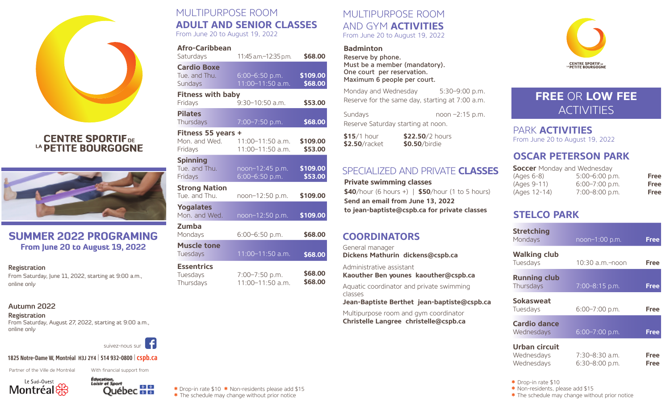

## **CENTRE SPORTIFDE** LA PETITE BOURGOGNE



## SUMMER 2022 PROGRAMING From June 20 to August 19, 2022

#### **Registration**

From Saturday, June 11, 2022, starting at 9:00 a.m., online only

#### **Autumn 2022**

#### **Registration**

From Saturday, August 27, 2022, starting at 9:00 a.m., online only



#### **1825 Notre-Dame W, Montréal H3J 2Y4** | **514 932-0800** |**cspb.ca**

Partner of the Ville de Montréal





With financial support from

# MULTIPURPOSE ROOM **ADULT AND SENIOR CLASSES**

From June 20 to August 19, 2022

| Afro-Caribbean<br>Saturdays                    | 11:45 a.m.-12:35 p.m.                | \$68.00             |
|------------------------------------------------|--------------------------------------|---------------------|
| <b>Cardio Boxe</b><br>Tue. and Thu.<br>Sundays | 6:00-6:50 p.m.<br>11:00-11:50 a.m.   | \$109.00<br>\$68.00 |
| <b>Fitness with baby</b><br>Fridays            | $9:30-10:50$ a.m.                    | \$53.00             |
| <b>Pilates</b><br>Thursdays                    | 7:00-7:50 p.m.                       | \$68.00             |
| Fitness 55 years +<br>Mon. and Wed.<br>Fridays | 11:00-11:50 a.m.<br>11:00-11:50 a.m. | \$109.00<br>\$53.00 |
| <b>Spinning</b><br>Tue. and Thu.<br>Fridays    | noon-12:45 p.m.<br>6:00-6:50 p.m.    | \$109.00<br>\$53.00 |
| <b>Strong Nation</b><br>Tue. and Thu.          | noon-12:50 p.m.                      | \$109.00            |
| <b>Yogalates</b><br>Mon. and Wed.              | noon-12:50 p.m.                      | \$109.00            |
| Zumba<br>Mondays                               | $6:00 - 6:50$ p.m.                   | \$68.00             |
| <b>Muscle tone</b><br>Tuesdays                 | $11:00 - 11:50$ a.m.                 | \$68.00             |
| <b>Essentrics</b><br>Tuesdays<br>Thursdays     | 7:00-7:50 p.m.<br>11:00-11:50 a.m.   | \$68.00<br>\$68.00  |

#### MULTIPURPOSE ROOM AND GYM **ACTIVITIES** From June 20 to August 19, 2022

#### **Badminton**

Reserve by phone. Must be a member (mandatory). One court per reservation. Maximum 6 people per court.

Monday and Wednesday 5:30-9:00 p.m. Reserve for the same day, starting at 7:00 a.m.

Sundays noon-2:15 p.m. Reserve Saturday starting at noon.

**\$15**/1 hour **\$22.50**/2 hours **\$2.50**/racket **\$0.50**/birdie

## SPECIALIZED AND PRIVATE **CLASSES**

**Private swimming classes \$40**/hour (6 hours +) | **\$50**/hour (1 to 5 hours) **Send an email from June 13, 2022 to jean-baptiste@cspb.ca for private classes**

## **COORDINATORS**

General manager **Dickens Mathurin dickens@cspb.ca** 

Administrative assistant **Kaouther Ben younes kaouther@cspb.ca**

Aquatic coordinator and private swimming classes

**Jean-Baptiste Berthet jean-baptiste@cspb.ca**

Multipurpose room and gym coordinator **Christelle Langree christelle@cspb.ca**



# **FREE** OR **LOW FEE ACTIVITIES**

PARK **ACTIVITIES** From June 20 to August 19, 2022

## **OSCAR PETERSON PARK**

| <b>Soccer</b> Monday and Wednesday |                  |             |  |
|------------------------------------|------------------|-------------|--|
| (Ages 6-8)                         | $5:00-6:00$ p.m. | <b>Free</b> |  |
| (Ages 9-11)                        | $6:00-7:00$ p.m. | <b>Free</b> |  |
| (Ages 12-14)                       | 7:00-8:00 p.m.   | <b>Free</b> |  |

## **STELCO PARK**

| <b>Stretching</b><br>Mondays                     | noon-1:00 p.m.                       | <b>Free</b>         |
|--------------------------------------------------|--------------------------------------|---------------------|
| <b>Walking club</b><br>Tuesdays                  | 10:30 a.m.-noon                      | Free                |
| <b>Running club</b><br>Thursdays                 | 7:00-8:15 p.m.                       | Free                |
| <b>Sokasweat</b><br>Tuesdays                     | 6:00-7:00 p.m.                       | Free                |
| <b>Cardio dance</b><br>Wednesdays                | 6:00-7:00 p.m.                       | <b>Free</b>         |
| <b>Urban circuit</b><br>Wednesdays<br>Wednesdays | 7:30-8:30 a.m.<br>$6:30 - 8:00$ p.m. | Free<br><b>Free</b> |

**\*** Drop-in rate \$10

**\*** Non-residents, please add \$15

**\*** The schedule may change without prior notice

**\*** Drop-in rate \$10 **\*** Non-residents please add \$15 **\*** The schedule may change without prior notice